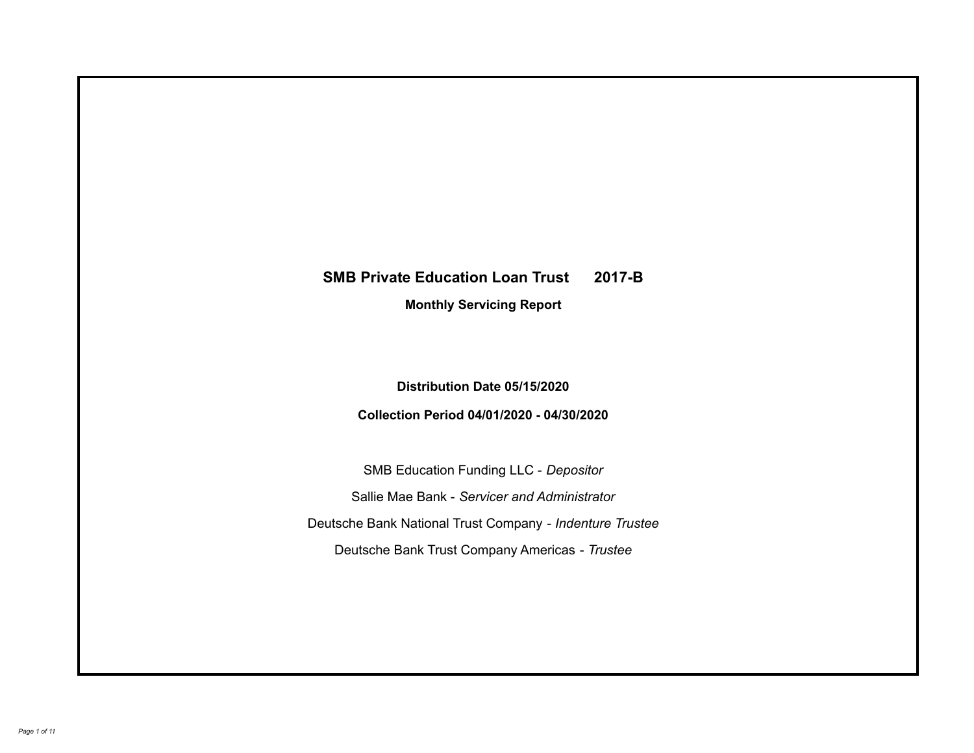# **SMB Private Education Loan Trust 2017-B Monthly Servicing Report**

**Distribution Date 05/15/2020**

**Collection Period 04/01/2020 - 04/30/2020**

SMB Education Funding LLC - *Depositor* Sallie Mae Bank - *Servicer and Administrator* Deutsche Bank National Trust Company - *Indenture Trustee* Deutsche Bank Trust Company Americas - *Trustee*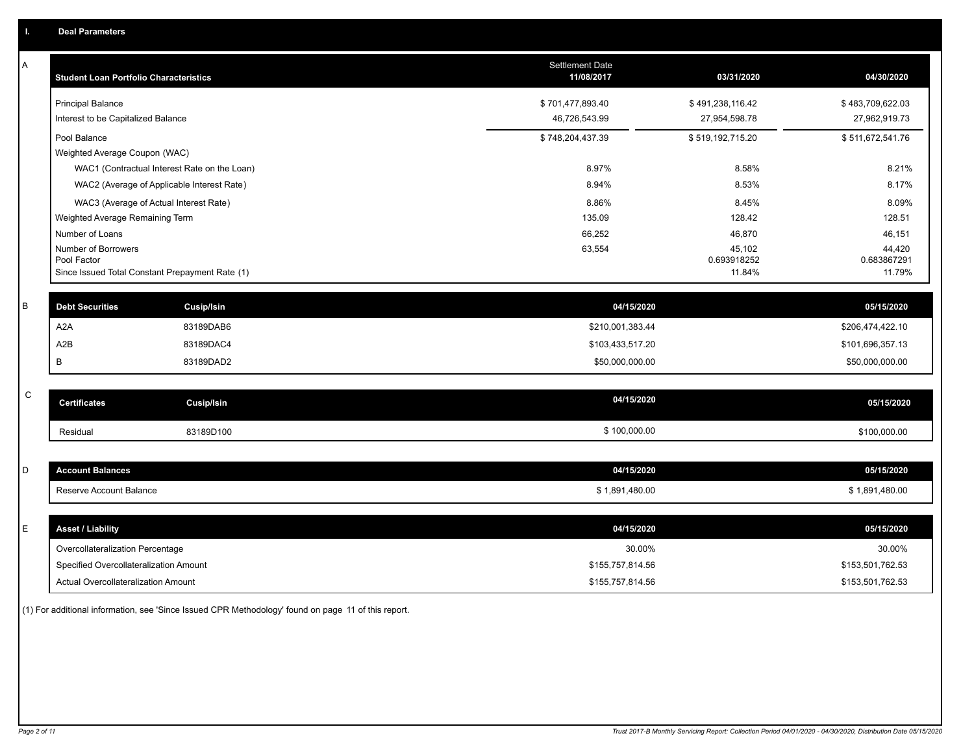| Α           | <b>Student Loan Portfolio Characteristics</b>                  |                                              | <b>Settlement Date</b><br>11/08/2017 | 03/31/2020            | 04/30/2020            |
|-------------|----------------------------------------------------------------|----------------------------------------------|--------------------------------------|-----------------------|-----------------------|
|             | <b>Principal Balance</b>                                       |                                              | \$701,477,893.40                     | \$491,238,116.42      | \$483,709,622.03      |
|             | Interest to be Capitalized Balance                             |                                              | 46,726,543.99                        | 27,954,598.78         | 27,962,919.73         |
|             | Pool Balance                                                   |                                              | \$748,204,437.39                     | \$519,192,715.20      | \$511,672,541.76      |
|             | Weighted Average Coupon (WAC)                                  |                                              |                                      |                       |                       |
|             |                                                                | WAC1 (Contractual Interest Rate on the Loan) | 8.97%                                | 8.58%                 | 8.21%                 |
|             |                                                                | WAC2 (Average of Applicable Interest Rate)   | 8.94%                                | 8.53%                 | 8.17%                 |
|             | WAC3 (Average of Actual Interest Rate)                         |                                              | 8.86%                                | 8.45%                 | 8.09%                 |
|             | Weighted Average Remaining Term                                |                                              | 135.09                               | 128.42                | 128.51                |
|             | Number of Loans                                                |                                              | 66,252                               | 46,870                | 46,151                |
|             | Number of Borrowers                                            |                                              | 63,554                               | 45,102                | 44,420                |
|             | Pool Factor<br>Since Issued Total Constant Prepayment Rate (1) |                                              |                                      | 0.693918252<br>11.84% | 0.683867291<br>11.79% |
|             |                                                                |                                              |                                      |                       |                       |
| B           | <b>Debt Securities</b>                                         | <b>Cusip/Isin</b>                            | 04/15/2020                           |                       | 05/15/2020            |
|             | A <sub>2</sub> A                                               | 83189DAB6                                    | \$210,001,383.44                     |                       | \$206,474,422.10      |
|             | A2B                                                            | 83189DAC4                                    | \$103,433,517.20                     |                       | \$101,696,357.13      |
|             | В                                                              | 83189DAD2                                    | \$50,000,000.00                      |                       | \$50,000,000.00       |
|             |                                                                |                                              |                                      |                       |                       |
| $\mathsf C$ | <b>Certificates</b>                                            | <b>Cusip/Isin</b>                            | 04/15/2020                           |                       | 05/15/2020            |
|             | Residual                                                       | 83189D100                                    | \$100,000.00                         |                       | \$100,000.00          |
|             |                                                                |                                              |                                      |                       |                       |
| D           | <b>Account Balances</b>                                        |                                              | 04/15/2020                           |                       | 05/15/2020            |
|             | Reserve Account Balance                                        |                                              | \$1,891,480.00                       |                       | \$1,891,480.00        |
|             |                                                                |                                              |                                      |                       |                       |
| E           | <b>Asset / Liability</b>                                       |                                              | 04/15/2020                           |                       | 05/15/2020            |
|             | Overcollateralization Percentage                               |                                              | 30.00%                               |                       | 30.00%                |
|             | Specified Overcollateralization Amount                         |                                              | \$155,757,814.56                     |                       | \$153,501,762.53      |
|             | Actual Overcollateralization Amount                            |                                              | \$155,757,814.56                     |                       | \$153,501,762.53      |

(1) For additional information, see 'Since Issued CPR Methodology' found on page 11 of this report.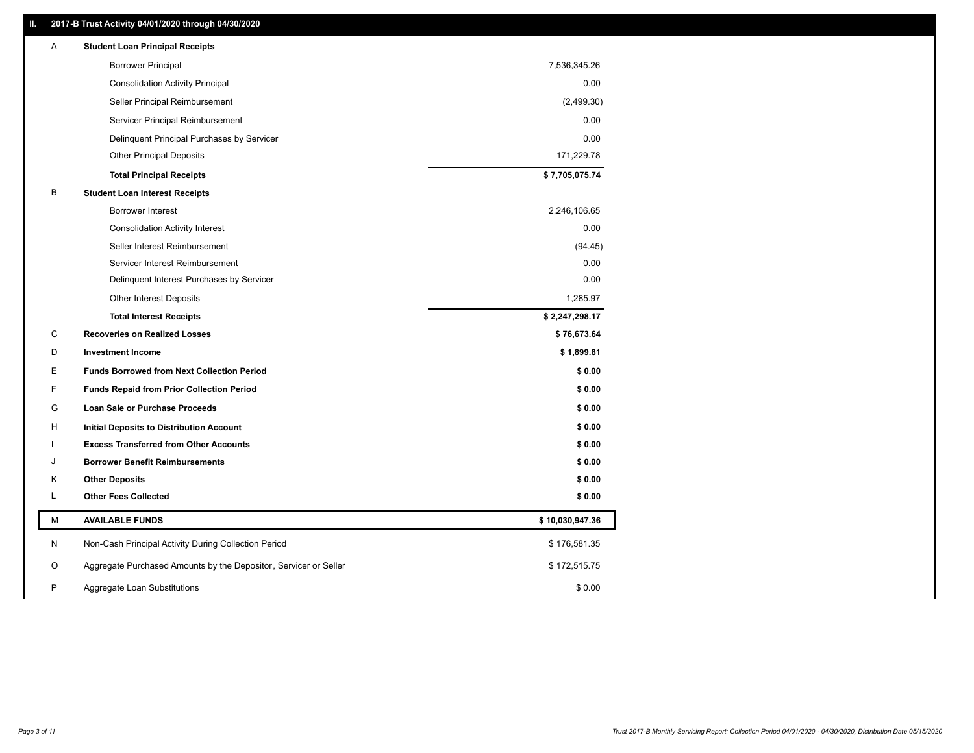# **II. 2017-B Trust Activity 04/01/2020 through 04/30/2020**

| Α | <b>Student Loan Principal Receipts</b>                           |                 |  |
|---|------------------------------------------------------------------|-----------------|--|
|   | <b>Borrower Principal</b>                                        | 7,536,345.26    |  |
|   | <b>Consolidation Activity Principal</b>                          | 0.00            |  |
|   | Seller Principal Reimbursement                                   | (2,499.30)      |  |
|   | Servicer Principal Reimbursement                                 | 0.00            |  |
|   | Delinquent Principal Purchases by Servicer                       | 0.00            |  |
|   | <b>Other Principal Deposits</b>                                  | 171,229.78      |  |
|   | <b>Total Principal Receipts</b>                                  | \$7,705,075.74  |  |
| В | <b>Student Loan Interest Receipts</b>                            |                 |  |
|   | Borrower Interest                                                | 2,246,106.65    |  |
|   | <b>Consolidation Activity Interest</b>                           | 0.00            |  |
|   | Seller Interest Reimbursement                                    | (94.45)         |  |
|   | Servicer Interest Reimbursement                                  | 0.00            |  |
|   | Delinquent Interest Purchases by Servicer                        | 0.00            |  |
|   | <b>Other Interest Deposits</b>                                   | 1,285.97        |  |
|   | <b>Total Interest Receipts</b>                                   | \$2,247,298.17  |  |
| С | <b>Recoveries on Realized Losses</b>                             | \$76,673.64     |  |
| D | <b>Investment Income</b>                                         | \$1,899.81      |  |
| Е | <b>Funds Borrowed from Next Collection Period</b>                | \$0.00          |  |
| F | <b>Funds Repaid from Prior Collection Period</b>                 | \$0.00          |  |
| G | <b>Loan Sale or Purchase Proceeds</b>                            | \$0.00          |  |
| н | Initial Deposits to Distribution Account                         | \$0.00          |  |
|   | <b>Excess Transferred from Other Accounts</b>                    | \$0.00          |  |
| J | <b>Borrower Benefit Reimbursements</b>                           | \$0.00          |  |
| Κ | <b>Other Deposits</b>                                            | \$0.00          |  |
| Г | <b>Other Fees Collected</b>                                      | \$0.00          |  |
| М | <b>AVAILABLE FUNDS</b>                                           | \$10,030,947.36 |  |
| N | Non-Cash Principal Activity During Collection Period             | \$176,581.35    |  |
| O | Aggregate Purchased Amounts by the Depositor, Servicer or Seller | \$172,515.75    |  |
| P | Aggregate Loan Substitutions                                     | \$0.00          |  |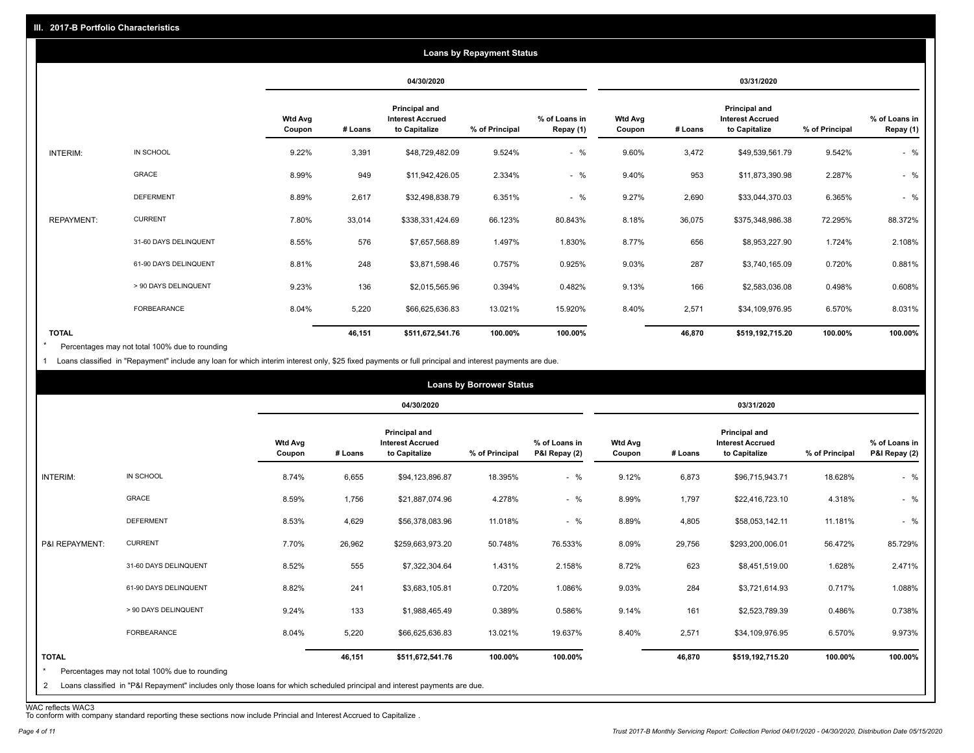|                   |                       |                          |            |                                                           | <b>Loans by Repayment Status</b> |                            |                   |         |                                                                  |                |                            |
|-------------------|-----------------------|--------------------------|------------|-----------------------------------------------------------|----------------------------------|----------------------------|-------------------|---------|------------------------------------------------------------------|----------------|----------------------------|
|                   |                       |                          | 04/30/2020 |                                                           | 03/31/2020                       |                            |                   |         |                                                                  |                |                            |
|                   |                       | <b>Wtd Avg</b><br>Coupon | # Loans    | Principal and<br><b>Interest Accrued</b><br>to Capitalize | % of Principal                   | % of Loans in<br>Repay (1) | Wtd Avg<br>Coupon | # Loans | <b>Principal and</b><br><b>Interest Accrued</b><br>to Capitalize | % of Principal | % of Loans in<br>Repay (1) |
| INTERIM:          | IN SCHOOL             | 9.22%                    | 3,391      | \$48,729,482.09                                           | 9.524%                           | $-$ %                      | 9.60%             | 3,472   | \$49,539,561.79                                                  | 9.542%         | $-$ %                      |
|                   | <b>GRACE</b>          | 8.99%                    | 949        | \$11,942,426.05                                           | 2.334%                           | $-$ %                      | 9.40%             | 953     | \$11,873,390.98                                                  | 2.287%         | $-$ %                      |
|                   | <b>DEFERMENT</b>      | 8.89%                    | 2,617      | \$32,498,838.79                                           | 6.351%                           | $-$ %                      | 9.27%             | 2,690   | \$33,044,370.03                                                  | 6.365%         | $-$ %                      |
| <b>REPAYMENT:</b> | <b>CURRENT</b>        | 7.80%                    | 33,014     | \$338,331,424.69                                          | 66.123%                          | 80.843%                    | 8.18%             | 36,075  | \$375,348,986.38                                                 | 72.295%        | 88.372%                    |
|                   | 31-60 DAYS DELINQUENT | 8.55%                    | 576        | \$7,657,568.89                                            | 1.497%                           | 1.830%                     | 8.77%             | 656     | \$8,953,227.90                                                   | 1.724%         | 2.108%                     |
|                   | 61-90 DAYS DELINQUENT | 8.81%                    | 248        | \$3,871,598.46                                            | 0.757%                           | 0.925%                     | 9.03%             | 287     | \$3,740,165.09                                                   | 0.720%         | 0.881%                     |
|                   | > 90 DAYS DELINQUENT  | 9.23%                    | 136        | \$2,015,565.96                                            | 0.394%                           | 0.482%                     | 9.13%             | 166     | \$2,583,036.08                                                   | 0.498%         | 0.608%                     |
|                   | <b>FORBEARANCE</b>    | 8.04%                    | 5,220      | \$66,625,636.83                                           | 13.021%                          | 15.920%                    | 8.40%             | 2,571   | \$34,109,976.95                                                  | 6.570%         | 8.031%                     |
| <b>TOTAL</b>      |                       |                          | 46,151     | \$511,672,541.76                                          | 100.00%                          | 100.00%                    |                   | 46,870  | \$519,192,715.20                                                 | 100.00%        | 100.00%                    |

Percentages may not total 100% due to rounding \*

1 Loans classified in "Repayment" include any loan for which interim interest only, \$25 fixed payments or full principal and interest payments are due.

|                              |                                                                                                                                                                              |                          |         |                                                           | <b>Loans by Borrower Status</b> |                                |                          |         |                                                                  |                |                                |
|------------------------------|------------------------------------------------------------------------------------------------------------------------------------------------------------------------------|--------------------------|---------|-----------------------------------------------------------|---------------------------------|--------------------------------|--------------------------|---------|------------------------------------------------------------------|----------------|--------------------------------|
|                              |                                                                                                                                                                              |                          |         | 04/30/2020                                                |                                 |                                |                          |         | 03/31/2020                                                       |                |                                |
|                              |                                                                                                                                                                              | <b>Wtd Avg</b><br>Coupon | # Loans | Principal and<br><b>Interest Accrued</b><br>to Capitalize | % of Principal                  | % of Loans in<br>P&I Repay (2) | <b>Wtd Avg</b><br>Coupon | # Loans | <b>Principal and</b><br><b>Interest Accrued</b><br>to Capitalize | % of Principal | % of Loans in<br>P&I Repay (2) |
| INTERIM:                     | IN SCHOOL                                                                                                                                                                    | 8.74%                    | 6,655   | \$94,123,896.87                                           | 18.395%                         | $-$ %                          | 9.12%                    | 6,873   | \$96,715,943.71                                                  | 18.628%        | $-$ %                          |
|                              | GRACE                                                                                                                                                                        | 8.59%                    | 1,756   | \$21,887,074.96                                           | 4.278%                          | $-$ %                          | 8.99%                    | 1,797   | \$22,416,723.10                                                  | 4.318%         | $-$ %                          |
|                              | <b>DEFERMENT</b>                                                                                                                                                             | 8.53%                    | 4,629   | \$56,378,083.96                                           | 11.018%                         | $-$ %                          | 8.89%                    | 4,805   | \$58,053,142.11                                                  | 11.181%        | $-$ %                          |
| P&I REPAYMENT:               | <b>CURRENT</b>                                                                                                                                                               | 7.70%                    | 26,962  | \$259,663,973.20                                          | 50.748%                         | 76.533%                        | 8.09%                    | 29,756  | \$293,200,006.01                                                 | 56.472%        | 85.729%                        |
|                              | 31-60 DAYS DELINQUENT                                                                                                                                                        | 8.52%                    | 555     | \$7,322,304.64                                            | 1.431%                          | 2.158%                         | 8.72%                    | 623     | \$8,451,519.00                                                   | 1.628%         | 2.471%                         |
|                              | 61-90 DAYS DELINQUENT                                                                                                                                                        | 8.82%                    | 241     | \$3,683,105.81                                            | 0.720%                          | 1.086%                         | 9.03%                    | 284     | \$3,721,614.93                                                   | 0.717%         | 1.088%                         |
|                              | > 90 DAYS DELINQUENT                                                                                                                                                         | 9.24%                    | 133     | \$1,988,465.49                                            | 0.389%                          | 0.586%                         | 9.14%                    | 161     | \$2,523,789.39                                                   | 0.486%         | 0.738%                         |
|                              | FORBEARANCE                                                                                                                                                                  | 8.04%                    | 5,220   | \$66,625,636.83                                           | 13.021%                         | 19.637%                        | 8.40%                    | 2,571   | \$34,109,976.95                                                  | 6.570%         | 9.973%                         |
| <b>TOTAL</b><br>$\star$<br>2 | Percentages may not total 100% due to rounding<br>Loans classified in "P&I Repayment" includes only those loans for which scheduled principal and interest payments are due. |                          | 46,151  | \$511,672,541.76                                          | 100.00%                         | 100.00%                        |                          | 46,870  | \$519,192,715.20                                                 | 100.00%        | 100.00%                        |

WAC reflects WAC3 To conform with company standard reporting these sections now include Princial and Interest Accrued to Capitalize .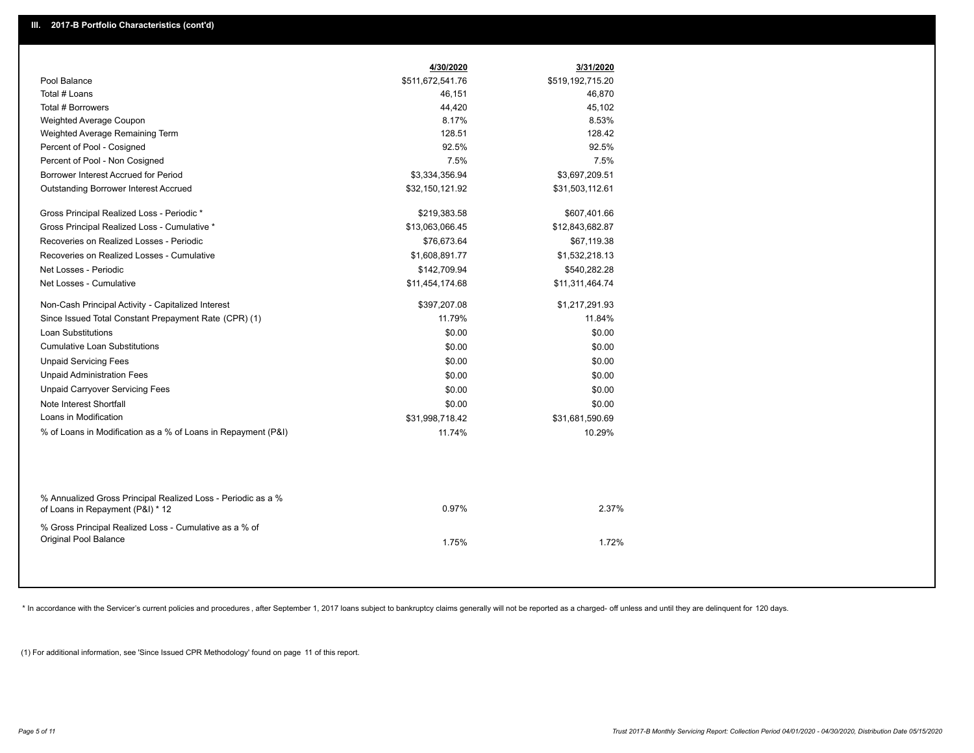|                                                               | 4/30/2020        | 3/31/2020        |
|---------------------------------------------------------------|------------------|------------------|
| Pool Balance                                                  | \$511,672,541.76 | \$519,192,715.20 |
| Total # Loans                                                 | 46,151           | 46,870           |
| Total # Borrowers                                             | 44,420           | 45,102           |
| Weighted Average Coupon                                       | 8.17%            | 8.53%            |
| Weighted Average Remaining Term                               | 128.51           | 128.42           |
| Percent of Pool - Cosigned                                    | 92.5%            | 92.5%            |
| Percent of Pool - Non Cosigned                                | 7.5%             | 7.5%             |
| Borrower Interest Accrued for Period                          | \$3,334,356.94   | \$3,697,209.51   |
| <b>Outstanding Borrower Interest Accrued</b>                  | \$32,150,121.92  | \$31,503,112.61  |
|                                                               |                  |                  |
| Gross Principal Realized Loss - Periodic *                    | \$219,383.58     | \$607,401.66     |
| Gross Principal Realized Loss - Cumulative *                  | \$13,063,066.45  | \$12,843,682.87  |
| Recoveries on Realized Losses - Periodic                      | \$76,673.64      | \$67,119.38      |
| Recoveries on Realized Losses - Cumulative                    | \$1,608,891.77   | \$1,532,218.13   |
| Net Losses - Periodic                                         | \$142,709.94     | \$540,282.28     |
| Net Losses - Cumulative                                       | \$11,454,174.68  | \$11,311,464.74  |
| Non-Cash Principal Activity - Capitalized Interest            | \$397,207.08     | \$1,217,291.93   |
| Since Issued Total Constant Prepayment Rate (CPR) (1)         | 11.79%           | 11.84%           |
| <b>Loan Substitutions</b>                                     | \$0.00           | \$0.00           |
| <b>Cumulative Loan Substitutions</b>                          | \$0.00           | \$0.00           |
| <b>Unpaid Servicing Fees</b>                                  | \$0.00           | \$0.00           |
| <b>Unpaid Administration Fees</b>                             | \$0.00           | \$0.00           |
| <b>Unpaid Carryover Servicing Fees</b>                        | \$0.00           | \$0.00           |
| Note Interest Shortfall                                       | \$0.00           | \$0.00           |
| Loans in Modification                                         | \$31,998,718.42  | \$31,681,590.69  |
| % of Loans in Modification as a % of Loans in Repayment (P&I) | 11.74%           | 10.29%           |
|                                                               |                  |                  |
|                                                               |                  |                  |
|                                                               |                  |                  |
| % Annualized Gross Principal Realized Loss - Periodic as a %  |                  |                  |
| of Loans in Repayment (P&I) * 12                              | 0.97%            | 2.37%            |
| % Gross Principal Realized Loss - Cumulative as a % of        |                  |                  |
| <b>Original Pool Balance</b>                                  |                  | 1.72%            |
|                                                               | 1.75%            |                  |
|                                                               |                  |                  |

\* In accordance with the Servicer's current policies and procedures, after September 1, 2017 loans subject to bankruptcy claims generally will not be reported as a charged- off unless and until they are delinquent for 120

(1) For additional information, see 'Since Issued CPR Methodology' found on page 11 of this report.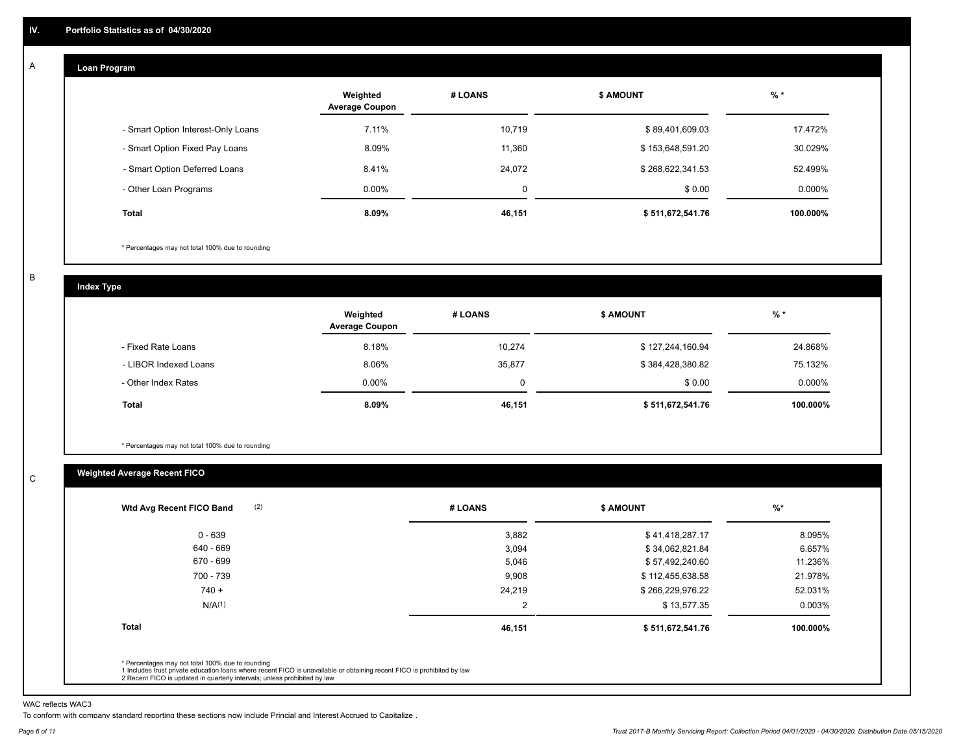#### **Loan Program**  A

|                                    | Weighted<br><b>Average Coupon</b> | # LOANS     | <b>\$ AMOUNT</b> | $%$ *     |
|------------------------------------|-----------------------------------|-------------|------------------|-----------|
| - Smart Option Interest-Only Loans | 7.11%                             | 10,719      | \$89,401,609.03  | 17.472%   |
| - Smart Option Fixed Pay Loans     | 8.09%                             | 11,360      | \$153,648,591.20 | 30.029%   |
| - Smart Option Deferred Loans      | 8.41%                             | 24.072      | \$268,622,341.53 | 52.499%   |
| - Other Loan Programs              | $0.00\%$                          | $\mathbf 0$ | \$0.00           | $0.000\%$ |
| <b>Total</b>                       | $8.09\%$                          | 46,151      | \$511,672,541.76 | 100.000%  |

\* Percentages may not total 100% due to rounding

B

C

**Index Type**

|                       | Weighted<br><b>Average Coupon</b> | # LOANS | <b>\$ AMOUNT</b> | % *       |
|-----------------------|-----------------------------------|---------|------------------|-----------|
| - Fixed Rate Loans    | 8.18%                             | 10,274  | \$127,244,160.94 | 24.868%   |
| - LIBOR Indexed Loans | 8.06%                             | 35,877  | \$384,428,380.82 | 75.132%   |
| - Other Index Rates   | $0.00\%$                          |         | \$0.00           | $0.000\%$ |
| Total                 | 8.09%                             | 46,151  | \$511,672,541.76 | 100.000%  |

\* Percentages may not total 100% due to rounding

# **Weighted Average Recent FICO**

| $0 - 639$          | 3,882          | \$41,418,287.17  | 8.095%   |
|--------------------|----------------|------------------|----------|
| 640 - 669          | 3,094          | \$34,062,821.84  | 6.657%   |
| 670 - 699          | 5,046          | \$57,492,240.60  | 11.236%  |
| 700 - 739          | 9,908          | \$112,455,638.58 | 21.978%  |
| $740 +$            | 24,219         | \$266,229,976.22 | 52.031%  |
| N/A <sup>(1)</sup> | $\overline{2}$ | \$13,577.35      | 0.003%   |
| <b>Total</b>       | 46,151         | \$511,672,541.76 | 100.000% |

WAC reflects WAC3

To conform with company standard reporting these sections now include Princial and Interest Accrued to Capitalize .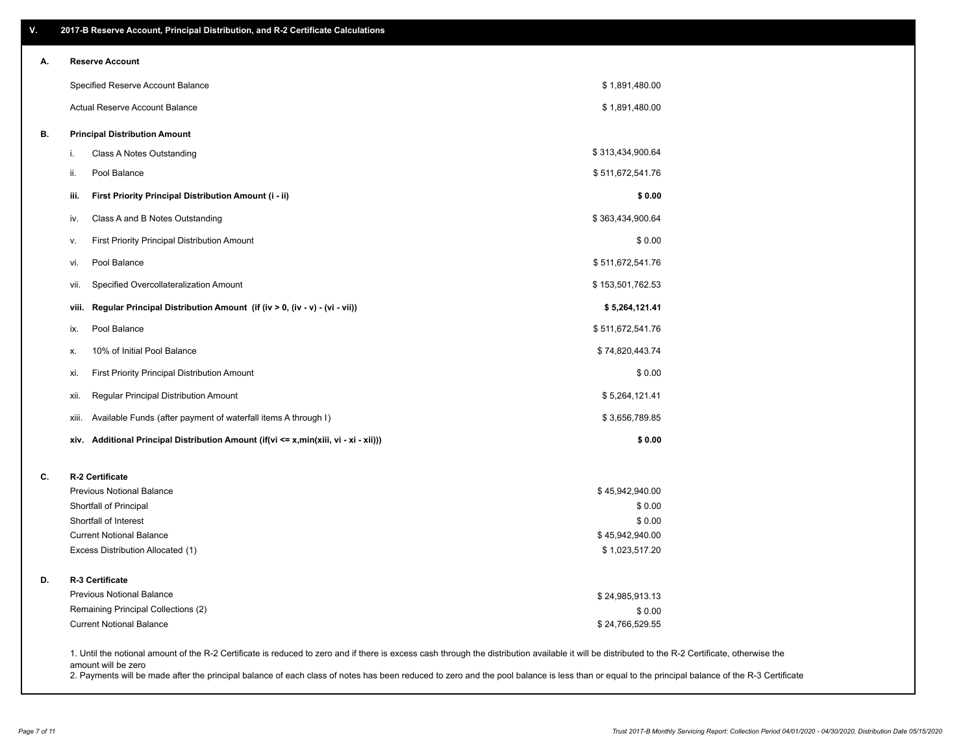| V. | 2017-B Reserve Account, Principal Distribution, and R-2 Certificate Calculations                                                                                                                   |                                   |  |
|----|----------------------------------------------------------------------------------------------------------------------------------------------------------------------------------------------------|-----------------------------------|--|
| А. | <b>Reserve Account</b>                                                                                                                                                                             |                                   |  |
|    | Specified Reserve Account Balance                                                                                                                                                                  | \$1,891,480.00                    |  |
|    | Actual Reserve Account Balance                                                                                                                                                                     | \$1,891,480.00                    |  |
| В. | <b>Principal Distribution Amount</b>                                                                                                                                                               |                                   |  |
|    | Class A Notes Outstanding<br>i.                                                                                                                                                                    | \$313,434,900.64                  |  |
|    | Pool Balance<br>ii.                                                                                                                                                                                | \$511,672,541.76                  |  |
|    | iii.<br>First Priority Principal Distribution Amount (i - ii)                                                                                                                                      | \$0.00                            |  |
|    | Class A and B Notes Outstanding<br>iv.                                                                                                                                                             | \$363,434,900.64                  |  |
|    | <b>First Priority Principal Distribution Amount</b><br>ν.                                                                                                                                          | \$0.00                            |  |
|    | Pool Balance<br>vi.                                                                                                                                                                                | \$511,672,541.76                  |  |
|    | Specified Overcollateralization Amount<br>vii.                                                                                                                                                     | \$153,501,762.53                  |  |
|    | Regular Principal Distribution Amount (if (iv > 0, (iv - v) - (vi - vii))<br>viii.                                                                                                                 | \$5,264,121.41                    |  |
|    | Pool Balance<br>ix.                                                                                                                                                                                | \$511,672,541.76                  |  |
|    | 10% of Initial Pool Balance<br>х.                                                                                                                                                                  | \$74,820,443.74                   |  |
|    | First Priority Principal Distribution Amount<br>xi.                                                                                                                                                | \$0.00                            |  |
|    | Regular Principal Distribution Amount<br>xii.                                                                                                                                                      | \$5,264,121.41                    |  |
|    | Available Funds (after payment of waterfall items A through I)<br>xiii.                                                                                                                            | \$3,656,789.85                    |  |
|    | xiv. Additional Principal Distribution Amount (if(vi <= x,min(xiii, vi - xi - xii)))                                                                                                               | \$0.00                            |  |
| C. | R-2 Certificate                                                                                                                                                                                    |                                   |  |
|    | <b>Previous Notional Balance</b>                                                                                                                                                                   | \$45,942,940.00                   |  |
|    | Shortfall of Principal                                                                                                                                                                             | \$0.00                            |  |
|    | Shortfall of Interest                                                                                                                                                                              | \$0.00                            |  |
|    | <b>Current Notional Balance</b><br>Excess Distribution Allocated (1)                                                                                                                               | \$45,942,940.00<br>\$1,023,517.20 |  |
| D. | R-3 Certificate                                                                                                                                                                                    |                                   |  |
|    | <b>Previous Notional Balance</b>                                                                                                                                                                   | \$24,985,913.13                   |  |
|    | Remaining Principal Collections (2)                                                                                                                                                                | \$0.00                            |  |
|    | <b>Current Notional Balance</b>                                                                                                                                                                    | \$24,766,529.55                   |  |
|    | 1. Until the notional amount of the R-2 Certificate is reduced to zero and if there is excess cash through the distribution available it will be distributed to the R-2 Certificate, otherwise the |                                   |  |

amount will be zero

2. Payments will be made after the principal balance of each class of notes has been reduced to zero and the pool balance is less than or equal to the principal balance of the R-3 Certificate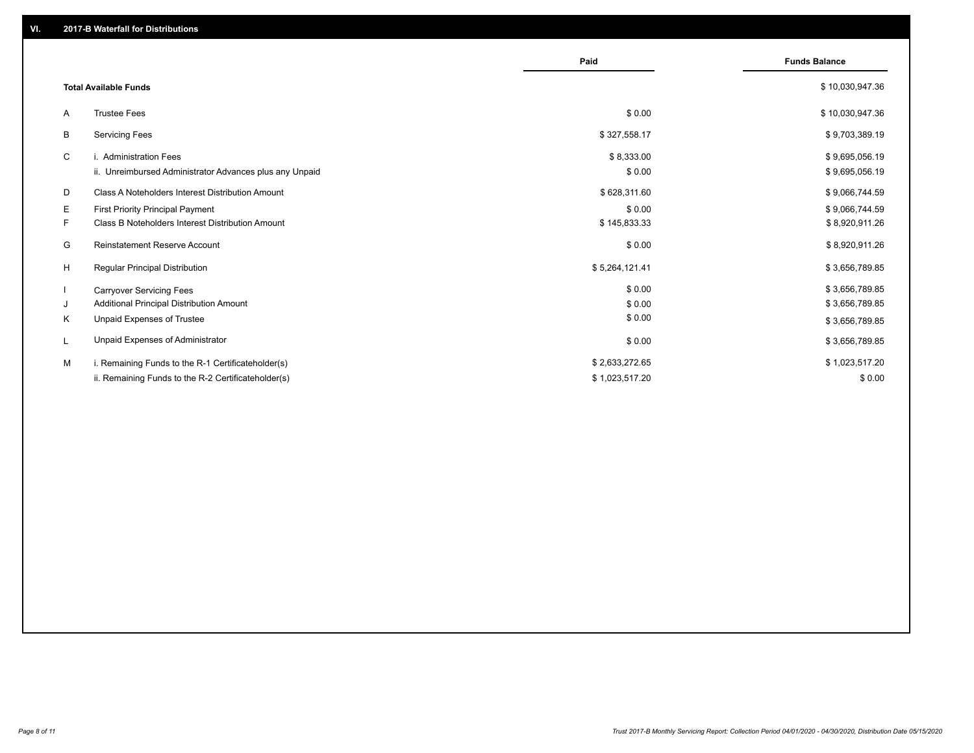|    |                                                         | Paid           | <b>Funds Balance</b> |
|----|---------------------------------------------------------|----------------|----------------------|
|    | <b>Total Available Funds</b>                            |                | \$10,030,947.36      |
| A  | <b>Trustee Fees</b>                                     | \$0.00         | \$10,030,947.36      |
| В  | <b>Servicing Fees</b>                                   | \$327,558.17   | \$9,703,389.19       |
| C  | i. Administration Fees                                  | \$8,333.00     | \$9,695,056.19       |
|    | ii. Unreimbursed Administrator Advances plus any Unpaid | \$0.00         | \$9,695,056.19       |
| D  | Class A Noteholders Interest Distribution Amount        | \$628,311.60   | \$9,066,744.59       |
| E. | <b>First Priority Principal Payment</b>                 | \$0.00         | \$9,066,744.59       |
| F. | <b>Class B Noteholders Interest Distribution Amount</b> | \$145,833.33   | \$8,920,911.26       |
| G  | <b>Reinstatement Reserve Account</b>                    | \$0.00         | \$8,920,911.26       |
| H  | <b>Regular Principal Distribution</b>                   | \$5,264,121.41 | \$3,656,789.85       |
|    | <b>Carryover Servicing Fees</b>                         | \$0.00         | \$3,656,789.85       |
| J  | Additional Principal Distribution Amount                | \$0.00         | \$3,656,789.85       |
| Κ  | Unpaid Expenses of Trustee                              | \$0.00         | \$3,656,789.85       |
| L  | Unpaid Expenses of Administrator                        | \$0.00         | \$3,656,789.85       |
| M  | i. Remaining Funds to the R-1 Certificateholder(s)      | \$2,633,272.65 | \$1,023,517.20       |
|    | ii. Remaining Funds to the R-2 Certificateholder(s)     | \$1,023,517.20 | \$0.00               |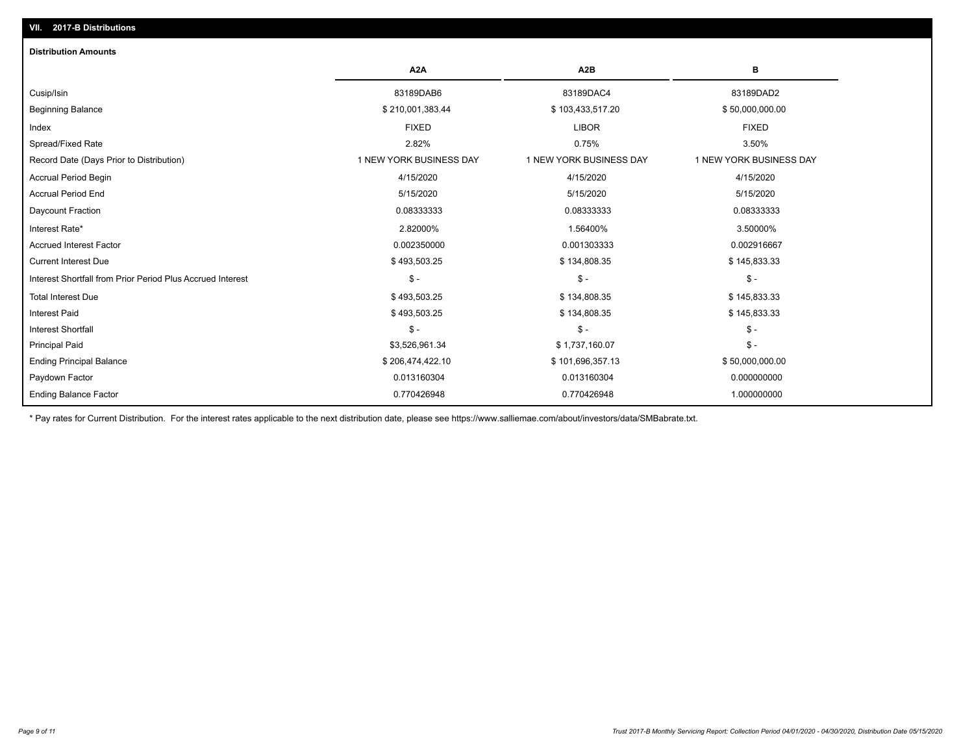| <b>Distribution Amounts</b>                                |                         |                         |                         |
|------------------------------------------------------------|-------------------------|-------------------------|-------------------------|
|                                                            | A <sub>2</sub> A        | A <sub>2</sub> B        | в                       |
| Cusip/Isin                                                 | 83189DAB6               | 83189DAC4               | 83189DAD2               |
| <b>Beginning Balance</b>                                   | \$210,001,383.44        | \$103,433,517.20        | \$50,000,000.00         |
| Index                                                      | <b>FIXED</b>            | <b>LIBOR</b>            | <b>FIXED</b>            |
| Spread/Fixed Rate                                          | 2.82%                   | 0.75%                   | 3.50%                   |
| Record Date (Days Prior to Distribution)                   | 1 NEW YORK BUSINESS DAY | 1 NEW YORK BUSINESS DAY | 1 NEW YORK BUSINESS DAY |
| <b>Accrual Period Begin</b>                                | 4/15/2020               | 4/15/2020               | 4/15/2020               |
| <b>Accrual Period End</b>                                  | 5/15/2020               | 5/15/2020               | 5/15/2020               |
| Daycount Fraction                                          | 0.08333333              | 0.08333333              | 0.08333333              |
| Interest Rate*                                             | 2.82000%                | 1.56400%                | 3.50000%                |
| <b>Accrued Interest Factor</b>                             | 0.002350000             | 0.001303333             | 0.002916667             |
| <b>Current Interest Due</b>                                | \$493,503.25            | \$134,808.35            | \$145,833.33            |
| Interest Shortfall from Prior Period Plus Accrued Interest | $\mathcal{S}$ -         | $\mathcal{S}$ -         | $\mathcal{S}$ -         |
| <b>Total Interest Due</b>                                  | \$493,503.25            | \$134,808.35            | \$145,833.33            |
| <b>Interest Paid</b>                                       | \$493,503.25            | \$134,808.35            | \$145,833.33            |
| <b>Interest Shortfall</b>                                  | $\mathsf{\$}$ -         | $\mathsf{\$}$ -         | $\mathsf{\$}$ -         |
| <b>Principal Paid</b>                                      | \$3,526,961.34          | \$1,737,160.07          | $\mathsf{\$}$ -         |
| <b>Ending Principal Balance</b>                            | \$206,474,422.10        | \$101,696,357.13        | \$50,000,000.00         |
| Paydown Factor                                             | 0.013160304             | 0.013160304             | 0.000000000             |
| <b>Ending Balance Factor</b>                               | 0.770426948             | 0.770426948             | 1.000000000             |

\* Pay rates for Current Distribution. For the interest rates applicable to the next distribution date, please see https://www.salliemae.com/about/investors/data/SMBabrate.txt.

**VII. 2017-B Distributions**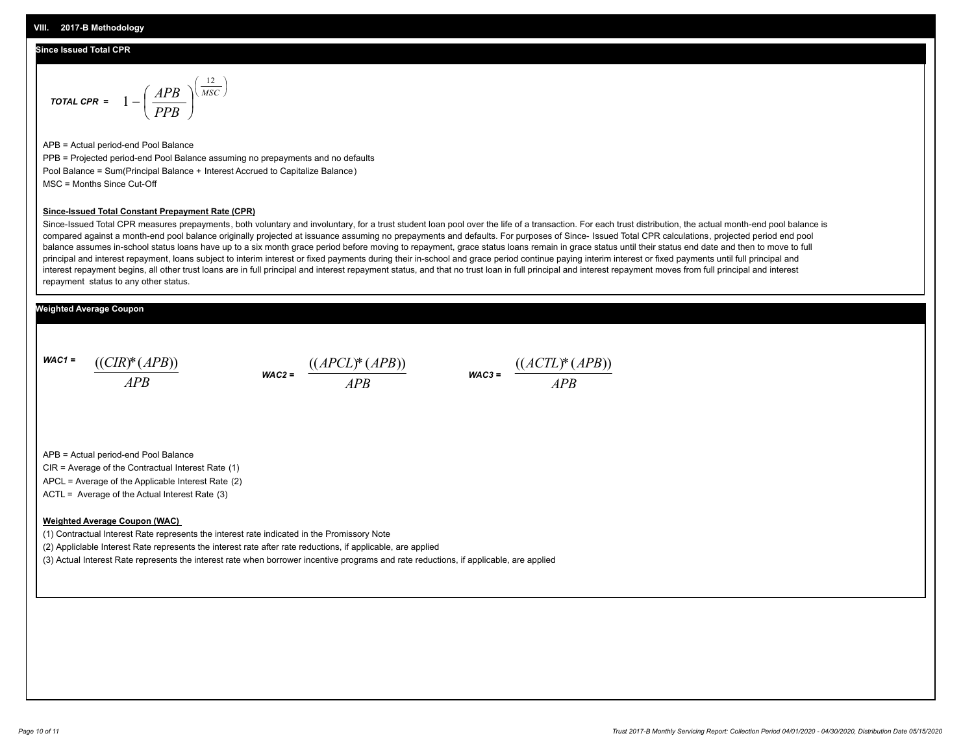#### **Since Issued Total CPR**

$$
\text{total CPR} = 1 - \left(\frac{APB}{PPB}\right)^{\left(\frac{12}{MSC}\right)}
$$

APB = Actual period-end Pool Balance PPB = Projected period-end Pool Balance assuming no prepayments and no defaults Pool Balance = Sum(Principal Balance + Interest Accrued to Capitalize Balance) MSC = Months Since Cut-Off

#### **Since-Issued Total Constant Prepayment Rate (CPR)**

Since-Issued Total CPR measures prepayments, both voluntary and involuntary, for a trust student loan pool over the life of a transaction. For each trust distribution, the actual month-end pool balance is compared against a month-end pool balance originally projected at issuance assuming no prepayments and defaults. For purposes of Since- Issued Total CPR calculations, projected period end pool balance assumes in-school status loans have up to a six month grace period before moving to repayment, grace status loans remain in grace status until their status end date and then to move to full principal and interest repayment, loans subject to interim interest or fixed payments during their in-school and grace period continue paying interim interest or fixed payments until full principal and interest repayment begins, all other trust loans are in full principal and interest repayment status, and that no trust loan in full principal and interest repayment moves from full principal and interest repayment status to any other status.

### **Weighted Average Coupon**

*WAC1 = APB* ((*CIR*)\*(*APB*))

*WAC2 = APB*  $\frac{((APCL)^{*}(APB))}{APB}$  wac<sub>3</sub> =  $\frac{((ACTL)^{*}(A)P}{APB}$ 



APB = Actual period-end Pool Balance

CIR = Average of the Contractual Interest Rate (1)

APCL = Average of the Applicable Interest Rate (2)

ACTL = Average of the Actual Interest Rate (3)

#### **Weighted Average Coupon (WAC)**

(1) Contractual Interest Rate represents the interest rate indicated in the Promissory Note

(2) Appliclable Interest Rate represents the interest rate after rate reductions, if applicable, are applied

(3) Actual Interest Rate represents the interest rate when borrower incentive programs and rate reductions, if applicable, are applied